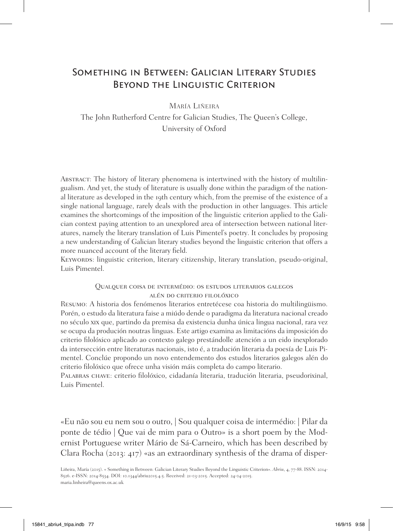# Something in Between: Galician Literary Studies Beyond the Linguistic Criterion

María Liñeira

The John Rutherford Centre for Galician Studies, The Queen's College, University of Oxford

Abstract: The history of literary phenomena is intertwined with the history of multilingualism. And yet, the study of literature is usually done within the paradigm of the national literature as developed in the 19th century which, from the premise of the existence of a single national language, rarely deals with the production in other languages. This article examines the shortcomings of the imposition of the linguistic criterion applied to the Galician context paying attention to an unexplored area of intersection between national literatures, namely the literary translation of Luis Pimentel's poetry. It concludes by proposing a new understanding of Galician literary studies beyond the linguistic criterion that offers a more nuanced account of the literary field.

Keywords: linguistic criterion, literary citizenship, literary translation, pseudo-original, Luis Pimentel.

### Qualquer coisa de intermédio: os estudos literarios galegos alén do criterio filolóxico

Resumo: A historia dos fenómenos literarios entretécese coa historia do multilingüismo. Porén, o estudo da literatura faise a miúdo dende o paradigma da literatura nacional creado no século xix que, partindo da premisa da existencia dunha única lingua nacional, rara vez se ocupa da produción noutras linguas. Este artigo examina as limitacións da imposición do criterio filolóxico aplicado ao contexto galego prestándolle atención a un eido inexplorado da intersección entre literaturas nacionais, isto é, a tradución literaria da poesía de Luis Pimentel. Conclúe propondo un novo entendemento dos estudos literarios galegos alén do criterio filolóxico que ofrece unha visión máis completa do campo literario.

Palabras chave: criterio filolóxico, cidadanía literaria, tradución literaria, pseudorixinal, Luis Pimentel.

«Eu não sou eu nem sou o outro, | Sou qualquer coisa de intermédio: | Pilar da ponte de tédio | Que vai de mim para o Outro» is a short poem by the Modernist Portuguese writer Mário de Sá-Carneiro, which has been described by Clara Rocha (2013: 417) «as an extraordinary synthesis of the drama of disper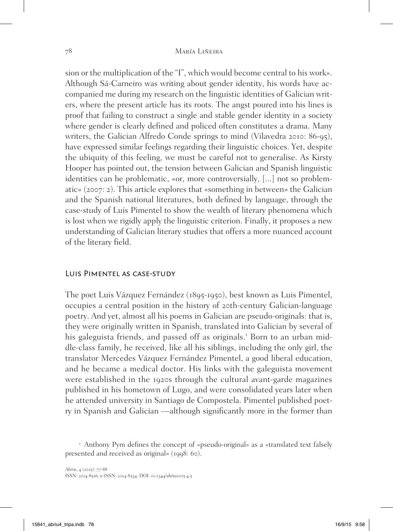sion or the multiplication of the "I", which would become central to his work». Although Sá-Carneiro was writing about gender identity, his words have accompanied me during my research on the linguistic identities of Galician writers, where the present article has its roots. The angst poured into his lines is proof that failing to construct a single and stable gender identity in a society where gender is clearly defined and policed often constitutes a drama. Many writers, the Galician Alfredo Conde springs to mind (Vilavedra 2010: 86-95), have expressed similar feelings regarding their linguistic choices. Yet, despite the ubiquity of this feeling, we must be careful not to generalise. As Kirsty Hooper has pointed out, the tension between Galician and Spanish linguistic identities can be problematic, «or, more controversially, [...] not so problematic» (2007: 2). This article explores that «something in between» the Galician and the Spanish national literatures, both defined by language, through the case-study of Luis Pimentel to show the wealth of literary phenomena which is lost when we rigidly apply the linguistic criterion. Finally, it proposes a new understanding of Galician literary studies that offers a more nuanced account of the literary field.

## Luis Pimentel as case-study

The poet Luis Vázquez Fernández (1895-1950), best known as Luis Pimentel, occupies a central position in the history of 20th-century Galician-language poetry. And yet, almost all his poems in Galician are pseudo-originals: that is, they were originally written in Spanish, translated into Galician by several of his galeguista friends, and passed off as originals.<sup>1</sup> Born to an urban middle-class family, he received, like all his siblings, including the only girl, the translator Mercedes Vázquez Fernández Pimentel, a good liberal education, and he became a medical doctor. His links with the galeguista movement were established in the 1920s through the cultural avant-garde magazines published in his hometown of Lugo, and were consolidated years later when he attended university in Santiago de Compostela. Pimentel published poetry in Spanish and Galician —although significantly more in the former than

<sup>&</sup>lt;sup>1</sup> Anthony Pym defines the concept of «pseudo-original» as a «translated text falsely presented and received as original» (1998: 60).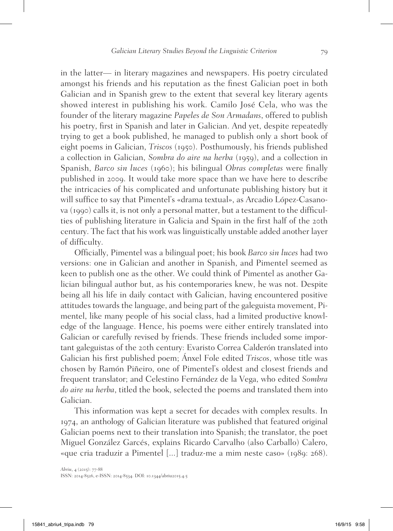in the latter— in literary magazines and newspapers. His poetry circulated amongst his friends and his reputation as the finest Galician poet in both Galician and in Spanish grew to the extent that several key literary agents showed interest in publishing his work. Camilo José Cela, who was the founder of the literary magazine *Papeles de Son Armadans*, offered to publish his poetry, first in Spanish and later in Galician. And yet, despite repeatedly trying to get a book published, he managed to publish only a short book of eight poems in Galician, *Triscos* (1950). Posthumously, his friends published a collection in Galician, *Sombra do aire na herba* (1959), and a collection in Spanish, *Barco sin luces* (1960); his bilingual *Obras completas* were finally published in 2009. It would take more space than we have here to describe the intricacies of his complicated and unfortunate publishing history but it will suffice to say that Pimentel's «drama textual», as Arcadio López-Casanova (1990) calls it, is not only a personal matter, but a testament to the difficulties of publishing literature in Galicia and Spain in the first half of the 20th century. The fact that his work was linguistically unstable added another layer of difficulty.

Officially, Pimentel was a bilingual poet; his book *Barco sin luces* had two versions: one in Galician and another in Spanish, and Pimentel seemed as keen to publish one as the other. We could think of Pimentel as another Galician bilingual author but, as his contemporaries knew, he was not. Despite being all his life in daily contact with Galician, having encountered positive attitudes towards the language, and being part of the galeguista movement, Pimentel, like many people of his social class, had a limited productive knowledge of the language. Hence, his poems were either entirely translated into Galician or carefully revised by friends. These friends included some important galeguistas of the 20th century: Evaristo Correa Calderón translated into Galician his first published poem; Ánxel Fole edited *Triscos*, whose title was chosen by Ramón Piñeiro, one of Pimentel's oldest and closest friends and frequent translator; and Celestino Fernández de la Vega, who edited *Sombra do aire na herba*, titled the book, selected the poems and translated them into Galician.

This information was kept a secret for decades with complex results. In 1974, an anthology of Galician literature was published that featured original Galician poems next to their translation into Spanish; the translator, the poet Miguel González Garcés, explains Ricardo Carvalho (also Carballo) Calero, «que cria traduzir a Pimentel [...] traduz-me a mim neste caso» (1989: 268).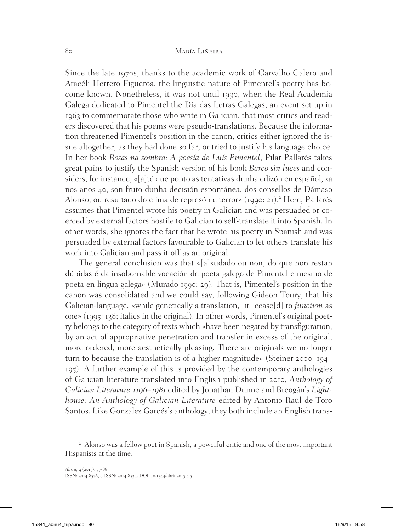Since the late 1970s, thanks to the academic work of Carvalho Calero and Aracéli Herrero Figueroa, the linguistic nature of Pimentel's poetry has become known. Nonetheless, it was not until 1990, when the Real Academia Galega dedicated to Pimentel the Día das Letras Galegas, an event set up in 1963 to commemorate those who write in Galician, that most critics and readers discovered that his poems were pseudo-translations. Because the information threatened Pimentel's position in the canon, critics either ignored the issue altogether, as they had done so far, or tried to justify his language choice. In her book *Rosas na sombra: A poesía de Luís Pimentel*, Pilar Pallarés takes great pains to justify the Spanish version of his book *Barco sin luces* and considers, for instance, «[a]té que ponto as tentativas dunha edizón en español, xa nos anos 40, son fruto dunha decisión espontánea, dos consellos de Dámaso Alonso, ou resultado do clima de represón e terror» (1990: 21).<sup>2</sup> Here, Pallarés assumes that Pimentel wrote his poetry in Galician and was persuaded or coerced by external factors hostile to Galician to self-translate it into Spanish. In other words, she ignores the fact that he wrote his poetry in Spanish and was persuaded by external factors favourable to Galician to let others translate his work into Galician and pass it off as an original.

The general conclusion was that «[a]xudado ou non, do que non restan dúbidas é da insobornable vocación de poeta galego de Pimentel e mesmo de poeta en lingua galega» (Murado 1990: 29). That is, Pimentel's position in the canon was consolidated and we could say, following Gideon Toury, that his Galician-language, «while genetically a translation, [it] cease[d] to *function* as one» (1995: 138; italics in the original). In other words, Pimentel's original poetry belongs to the category of texts which «have been negated by transfiguration, by an act of appropriative penetration and transfer in excess of the original, more ordered, more aesthetically pleasing. There are originals we no longer turn to because the translation is of a higher magnitude» (Steiner 2000: 194– 195). A further example of this is provided by the contemporary anthologies of Galician literature translated into English published in 2010, *Anthology of Galician Literature* 1196*–*19<sup>81</sup> edited by Jonathan Dunne and Breogán's *Lighthouse: An Anthology of Galician Literature* edited by Antonio Raúl de Toro Santos. Like González Garcés's anthology, they both include an English trans-

<sup>&</sup>lt;sup>2</sup> Alonso was a fellow poet in Spanish, a powerful critic and one of the most important Hispanists at the time.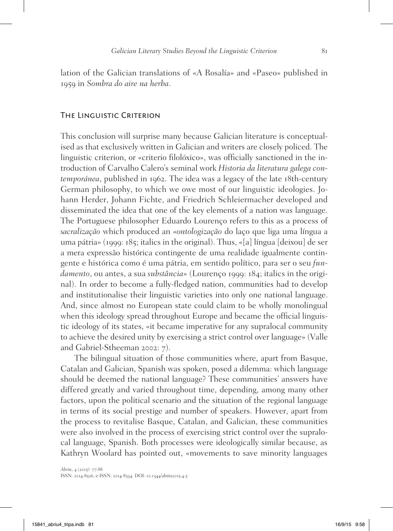lation of the Galician translations of «A Rosalía» and «Paseo» published in 1959 in *Sombra do aire na herba*.

#### The Linguistic Criterion

This conclusion will surprise many because Galician literature is conceptualised as that exclusively written in Galician and writers are closely policed. The linguistic criterion, or «criterio filolóxico», was officially sanctioned in the introduction of Carvalho Calero's seminal work *Historia da literatura galega contemporánea*, published in 1962. The idea was a legacy of the late 18th-century German philosophy, to which we owe most of our linguistic ideologies. Johann Herder, Johann Fichte, and Friedrich Schleiermacher developed and disseminated the idea that one of the key elements of a nation was language. The Portuguese philosopher Eduardo Lourenço refers to this as a process of *sacralização* which produced an «*ontologização* do laço que liga uma língua a uma pátria» (1999: 185; italics in the original). Thus, «[a] língua [deixou] de ser a mera expressão histórica contingente de uma realidade igualmente contingente e histórica como é uma pátria, em sentido político, para ser o seu *fundamento*, ou antes, a sua *substância*» (Lourenço 1999: 184; italics in the original). In order to become a fully-fledged nation, communities had to develop and institutionalise their linguistic varieties into only one national language. And, since almost no European state could claim to be wholly monolingual when this ideology spread throughout Europe and became the official linguistic ideology of its states, «it became imperative for any supralocal community to achieve the desired unity by exercising a strict control over language» (Valle and Gabriel-Stheeman 2002: 7).

The bilingual situation of those communities where, apart from Basque, Catalan and Galician, Spanish was spoken, posed a dilemma: which language should be deemed the national language? These communities' answers have differed greatly and varied throughout time, depending, among many other factors, upon the political scenario and the situation of the regional language in terms of its social prestige and number of speakers. However, apart from the process to revitalise Basque, Catalan, and Galician, these communities were also involved in the process of exercising strict control over the supralocal language, Spanish. Both processes were ideologically similar because, as Kathryn Woolard has pointed out, «movements to save minority languages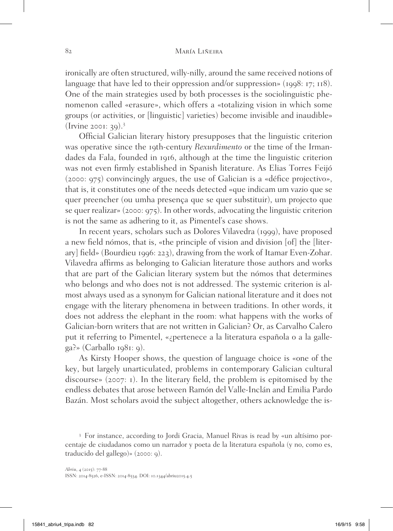ironically are often structured, willy-nilly, around the same received notions of language that have led to their oppression and/or suppression» (1998: 17; 118). One of the main strategies used by both processes is the sociolinguistic phenomenon called «erasure», which offers a «totalizing vision in which some groups (or activities, or [linguistic] varieties) become invisible and inaudible» (Irvine 2001: 39).<sup>3</sup>

Official Galician literary history presupposes that the linguistic criterion was operative since the 19th-century *Rexurdimento* or the time of the Irmandades da Fala, founded in 1916, although at the time the linguistic criterion was not even firmly established in Spanish literature. As Elias Torres Feijó (2000: 975) convincingly argues, the use of Galician is a «défice projectivo», that is, it constitutes one of the needs detected «que indicam um vazio que se quer preencher (ou umha presença que se quer substituir), um projecto que se quer realizar» (2000: 975). In other words, advocating the linguistic criterion is not the same as adhering to it, as Pimentel's case shows.

In recent years, scholars such as Dolores Vilavedra (1999), have proposed a new field nómos, that is, «the principle of vision and division [of] the [literary] field» (Bourdieu 1996: 223), drawing from the work of Itamar Even-Zohar. Vilavedra affirms as belonging to Galician literature those authors and works that are part of the Galician literary system but the nómos that determines who belongs and who does not is not addressed. The systemic criterion is almost always used as a synonym for Galician national literature and it does not engage with the literary phenomena in between traditions. In other words, it does not address the elephant in the room: what happens with the works of Galician-born writers that are not written in Galician? Or, as Carvalho Calero put it referring to Pimentel, «¿pertenece a la literatura española o a la galle $ga$ ?» (Carballo 1981: 9).

As Kirsty Hooper shows, the question of language choice is «one of the key, but largely unarticulated, problems in contemporary Galician cultural discourse» (2007: 1). In the literary field, the problem is epitomised by the endless debates that arose between Ramón del Valle-Inclán and Emilia Pardo Bazán. Most scholars avoid the subject altogether, others acknowledge the is-

<sup>3</sup> For instance, according to Jordi Gracia, Manuel Rivas is read by «un altísimo porcentaje de ciudadanos como un narrador y poeta de la literatura española (y no, como es, traducido del gallego)» (2000: 9).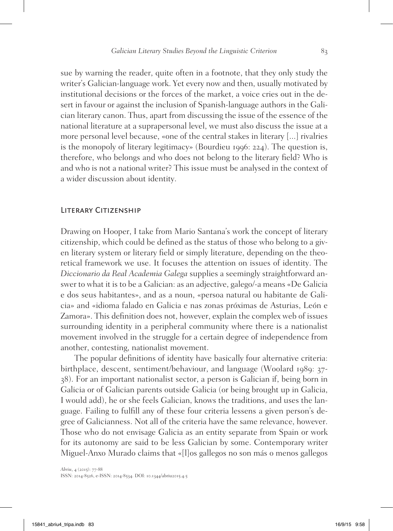sue by warning the reader, quite often in a footnote, that they only study the writer's Galician-language work. Yet every now and then, usually motivated by institutional decisions or the forces of the market, a voice cries out in the desert in favour or against the inclusion of Spanish-language authors in the Galician literary canon. Thus, apart from discussing the issue of the essence of the national literature at a suprapersonal level, we must also discuss the issue at a more personal level because, «one of the central stakes in literary [...] rivalries is the monopoly of literary legitimacy» (Bourdieu 1996: 224). The question is, therefore, who belongs and who does not belong to the literary field? Who is and who is not a national writer? This issue must be analysed in the context of a wider discussion about identity.

## LITERARY CITIZENSHIP

Drawing on Hooper, I take from Mario Santana's work the concept of literary citizenship, which could be defined as the status of those who belong to a given literary system or literary field or simply literature, depending on the theoretical framework we use. It focuses the attention on issues of identity. The *Diccionario da Real Academia Galega* supplies a seemingly straightforward answer to what it is to be a Galician: as an adjective, galego/-a means «De Galicia e dos seus habitantes», and as a noun, «persoa natural ou habitante de Galicia» and «idioma falado en Galicia e nas zonas próximas de Asturias, León e Zamora». This definition does not, however, explain the complex web of issues surrounding identity in a peripheral community where there is a nationalist movement involved in the struggle for a certain degree of independence from another, contesting, nationalist movement.

The popular definitions of identity have basically four alternative criteria: birthplace, descent, sentiment/behaviour, and language (Woolard 1989: 37- 38). For an important nationalist sector, a person is Galician if, being born in Galicia or of Galician parents outside Galicia (or being brought up in Galicia, I would add), he or she feels Galician, knows the traditions, and uses the language. Failing to fulfill any of these four criteria lessens a given person's degree of Galicianness. Not all of the criteria have the same relevance, however. Those who do not envisage Galicia as an entity separate from Spain or work for its autonomy are said to be less Galician by some. Contemporary writer Miguel-Anxo Murado claims that «[l]os gallegos no son más o menos gallegos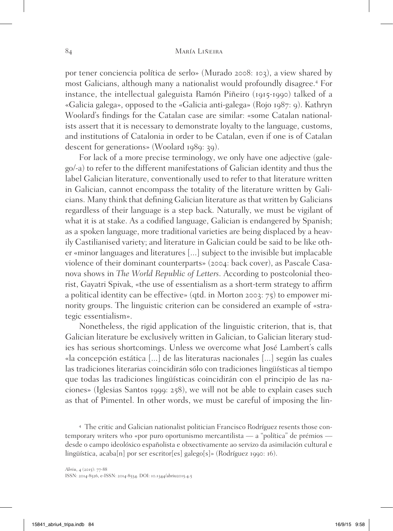por tener conciencia política de serlo» (Murado 2008: 103), a view shared by most Galicians, although many a nationalist would profoundly disagree.<sup>4</sup> For instance, the intellectual galeguista Ramón Piñeiro (1915-1990) talked of a «Galicia galega», opposed to the «Galicia anti-galega» (Rojo 1987: 9). Kathryn Woolard's findings for the Catalan case are similar: «some Catalan nationalists assert that it is necessary to demonstrate loyalty to the language, customs, and institutions of Catalonia in order to be Catalan, even if one is of Catalan descent for generations» (Woolard 1989: 39).

For lack of a more precise terminology, we only have one adjective (galego/-a) to refer to the different manifestations of Galician identity and thus the label Galician literature, conventionally used to refer to that literature written in Galician, cannot encompass the totality of the literature written by Galicians. Many think that defining Galician literature as that written by Galicians regardless of their language is a step back. Naturally, we must be vigilant of what it is at stake. As a codified language, Galician is endangered by Spanish; as a spoken language, more traditional varieties are being displaced by a heavily Castilianised variety; and literature in Galician could be said to be like other «minor languages and literatures [...] subject to the invisible but implacable violence of their dominant counterparts» (2004: back cover), as Pascale Casanova shows in *The World Republic of Letters*. According to postcolonial theorist, Gayatri Spivak, «the use of essentialism as a short-term strategy to affirm a political identity can be effective» (qtd. in Morton 2003: 75) to empower minority groups. The linguistic criterion can be considered an example of «strategic essentialism».

Nonetheless, the rigid application of the linguistic criterion, that is, that Galician literature be exclusively written in Galician, to Galician literary studies has serious shortcomings. Unless we overcome what José Lambert's calls «la concepción estática [...] de las literaturas nacionales [...] según las cuales las tradiciones literarias coincidirán sólo con tradiciones lingüísticas al tiempo que todas las tradiciones lingüísticas coincidirán con el principio de las naciones» (Iglesias Santos 1999: 258), we will not be able to explain cases such as that of Pimentel. In other words, we must be careful of imposing the lin-

<sup>4</sup> The critic and Galician nationalist politician Francisco Rodríguez resents those contemporary writers who «por puro oportunismo mercantilista — a "política" de prémios desde o campo ideolóxico españolista e obxectivamente ao servizo da asimilación cultural e lingüística, acaba<sup>[n]</sup> por ser escritor<sup>[es]</sup> galego<sup>[s]</sup>» (Rodríguez 1990: 16).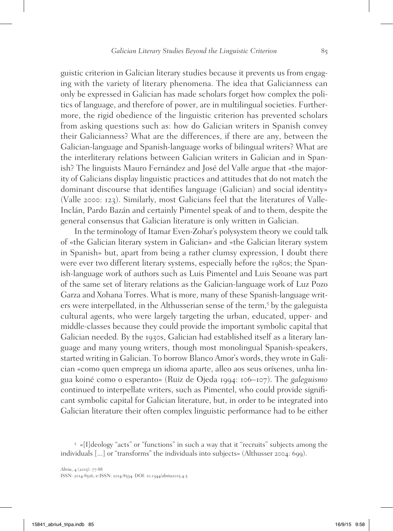guistic criterion in Galician literary studies because it prevents us from engaging with the variety of literary phenomena. The idea that Galicianness can only be expressed in Galician has made scholars forget how complex the politics of language, and therefore of power, are in multilingual societies. Furthermore, the rigid obedience of the linguistic criterion has prevented scholars from asking questions such as: how do Galician writers in Spanish convey their Galicianness? What are the differences, if there are any, between the Galician-language and Spanish-language works of bilingual writers? What are the interliterary relations between Galician writers in Galician and in Spanish? The linguists Mauro Fernández and José del Valle argue that «the majority of Galicians display linguistic practices and attitudes that do not match the dominant discourse that identifies language (Galician) and social identity» (Valle 2000: 123). Similarly, most Galicians feel that the literatures of Valle-Inclán, Pardo Bazán and certainly Pimentel speak of and to them, despite the general consensus that Galician literature is only written in Galician.

In the terminology of Itamar Even-Zohar's polysystem theory we could talk of «the Galician literary system in Galician» and «the Galician literary system in Spanish» but, apart from being a rather clumsy expression, I doubt there were ever two different literary systems, especially before the 1980s; the Spanish-language work of authors such as Luis Pimentel and Luis Seoane was part of the same set of literary relations as the Galician-language work of Luz Pozo Garza and Xohana Torres. What is more, many of these Spanish-language writers were interpellated, in the Althusserian sense of the term,<sup>5</sup> by the galeguista cultural agents, who were largely targeting the urban, educated, upper- and middle-classes because they could provide the important symbolic capital that Galician needed. By the 1930s, Galician had established itself as a literary language and many young writers, though most monolingual Spanish-speakers, started writing in Galician. To borrow Blanco Amor's words, they wrote in Galician «como quen emprega un idioma aparte, alleo aos seus oríxenes, unha lingua koiné como o esperanto» (Ruiz de Ojeda 1994: 106–107). The *galeguismo* continued to interpellate writers, such as Pimentel, who could provide significant symbolic capital for Galician literature, but, in order to be integrated into Galician literature their often complex linguistic performance had to be either

<sup>5</sup> «[I]deology "acts" or "functions" in such a way that it "recruits" subjects among the individuals [...] or "transforms" the individuals into subjects» (Althusser 2004: 699).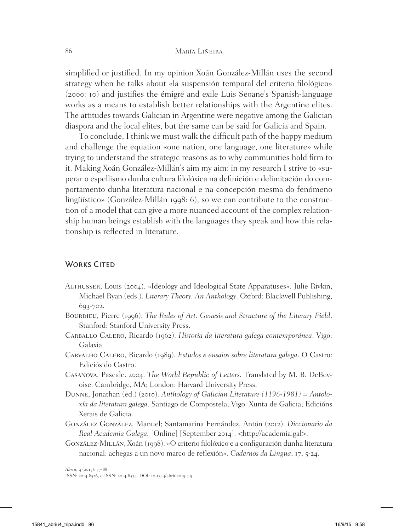simplified or justified. In my opinion Xoán González-Millán uses the second strategy when he talks about «la suspensión temporal del criterio filológico» (2000: 10) and justifies the émigré and exile Luis Seoane's Spanish-language works as a means to establish better relationships with the Argentine elites. The attitudes towards Galician in Argentine were negative among the Galician diaspora and the local elites, but the same can be said for Galicia and Spain.

To conclude, I think we must walk the difficult path of the happy medium and challenge the equation «one nation, one language, one literature» while trying to understand the strategic reasons as to why communities hold firm to it. Making Xoán González-Millán's aim my aim: in my research I strive to «superar o espellismo dunha cultura filolóxica na definición e delimitación do comportamento dunha literatura nacional e na concepción mesma do fenómeno lingüístico» (González-Millán 1998: 6), so we can contribute to the construction of a model that can give a more nuanced account of the complex relationship human beings establish with the languages they speak and how this relationship is reflected in literature.

## WORKS CITED

- Althusser, Louis (2004). «Ideology and Ideological State Apparatuses». Julie Rivkin; Michael Ryan (eds.). *Literary Theory: An Anthology*. Oxford: Blackwell Publishing, 693-702.
- BOURDIEU, Pierre (1996). *The Rules of Art. Genesis and Structure of the Literary Field.* Stanford: Stanford University Press.
- Carballo Calero, Ricardo (1962). *Historia da literatura galega contemporánea*. Vigo: Galaxia.
- Carvalho Calero, Ricardo (1989). *Estudos e ensaios sobre literatura galega*. O Castro: Ediciós do Castro.
- Casanova, Pascale. 2004. *The World Republic of Letters*. Translated by M. B. DeBevoise. Cambridge, MA; London: Harvard University Press.
- Dunne, Jonathan (ed.) (2010). *Anthology of Galician Literature (1196-1981) = Antoloxía da literatura galega*. Santiago de Compostela; Vigo: Xunta de Galicia; Edicións Xerais de Galicia.
- González González, Manuel; Santamarina Fernández, Antón (2012). *Diccionario da Real Academia Galega.* [Online] [September 2014]. <http://academia.gal>.
- González-Millán, Xoán (1998). «O criterio filolóxico e a configuración dunha literatura nacional: achegas a un novo marco de reflexión». *Cadernos da Lingua*, 17, 5-24.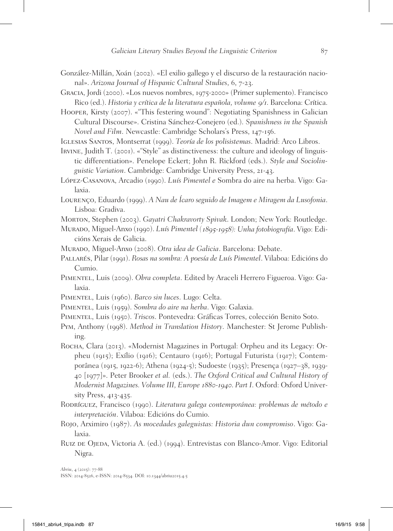- González-Millán, Xoán (2002). «El exilio gallego y el discurso de la restauración nacional». *Arizona Journal of Hispanic Cultural Studies*, 6, 7-23.
- Gracia, Jordi (2000). «Los nuevos nombres, 1975-2000» (Primer suplemento). Francisco Rico (ed.). *Historia y crítica de la literatura española, volume* 9/1. Barcelona: Crítica.
- Hooper, Kirsty (2007). «"This festering wound": Negotiating Spanishness in Galician Cultural Discourse». Cristina Sánchez-Conejero (ed.). *Spanishness in the Spanish Novel and Film*. Newcastle: Cambridge Scholars's Press, 147-156.
- Iglesias Santos, Montserrat (1999). *Teoría de los polisistemas*. Madrid: Arco Libros.
- Irvine, Judith T. (2001). «"Style" as distinctiveness: the culture and ideology of linguistic differentiation». Penelope Eckert; John R. Rickford (eds.). *Style and Sociolinguistic Variation*. Cambridge: Cambridge University Press, 21-43.
- López-Casanova, Arcadio (1990). *Luís Pimentel e* Sombra do aire na herba. Vigo: Galaxia.
- Lourenço, Eduardo (1999). *A Nau de Ícaro seguido de Imagem e Miragem da Lusofonia*. Lisboa: Gradiva.
- Morton, Stephen (2003). *Gayatri Chakravorty Spivak*. London; New York: Routledge.
- Murado, Miguel-Anxo (1990). *Luís Pimentel (*1895-1958*): Unha fotobiografía*. Vigo: Edicións Xerais de Galicia.
- Murado, Miguel-Anxo (2008). *Otra idea de Galicia*. Barcelona: Debate.
- Pallarés, Pilar (1991). *Rosas na sombra: A poesía de Luís Pimentel*. Vilaboa: Edicións do Cumio.
- Pimentel, Luis (2009). *Obra completa*. Edited by Araceli Herrero Figueroa. Vigo: Galaxia.
- Pimentel, Luis (1960). *Barco sin luces*. Lugo: Celta.
- Pimentel, Luis (1959). *Sombra do aire na herba*. Vigo: Galaxia.
- Pimentel, Luis (1950). *Triscos*. Pontevedra: Gráficas Torres, colección Benito Soto.
- Pym, Anthony (1998). *Method in Translation History*. Manchester: St Jerome Publishing.
- Rocha, Clara (2013). «Modernist Magazines in Portugal: Orpheu and its Legacy: Orpheu (1915); Exílio (1916); Centauro (1916); Portugal Futurista (1917); Contemporânea (1915, 1922-6); Athena (1924-5); Sudoeste (1935); Presença (1927–38, 1939- 40 [1977]». Peter Brooker *et al.* (eds.). *The Oxford Critical and Cultural History of Modernist Magazines. Volume III, Europe* 1880-1940. *Part I*. Oxford: Oxford University Press, 413-435.
- Rodríguez, Francisco (1990). *Literatura galega contemporánea: problemas de método e interpretación*. Vilaboa: Edicións do Cumio.
- Rojo, Arximiro (1987). *As mocedades galeguistas: Historia dun compromiso*. Vigo: Galaxia.
- Ruiz de Ojeda, Victoria A. (ed.) (1994). Entrevistas con Blanco-Amor. Vigo: Editorial Nigra.